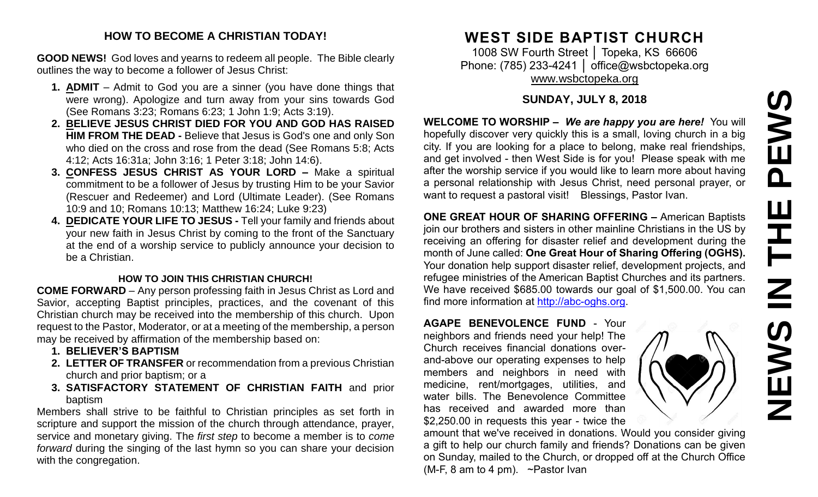## **HOW TO BECOME A CHRISTIAN TODAY!**

**GOOD NEWS!** God loves and yearns to redeem all people. The Bible clearly outlines the way to become a follower of Jesus Christ:

- **1. ADMIT** Admit to God you are a sinner (you have done things that were wrong). Apologize and turn away from your sins towards God (See Romans 3:23; Romans 6:23; 1 John 1:9; Acts 3:19).
- **2. BELIEVE JESUS CHRIST DIED FOR YOU AND GOD HAS RAISED HIM FROM THE DEAD -** Believe that Jesus is God's one and only Son who died on the cross and rose from the dead (See Romans 5:8; Acts 4:12; Acts 16:31a; John 3:16; 1 Peter 3:18; John 14:6).
- **3. CONFESS JESUS CHRIST AS YOUR LORD –** Make a spiritual commitment to be a follower of Jesus by trusting Him to be your Savior (Rescuer and Redeemer) and Lord (Ultimate Leader). (See Romans 10:9 and 10; Romans 10:13; Matthew 16:24; Luke 9:23)
- **4. DEDICATE YOUR LIFE TO JESUS -** Tell your family and friends about your new faith in Jesus Christ by coming to the front of the Sanctuary at the end of a worship service to publicly announce your decision to be a Christian.

### **HOW TO JOIN THIS CHRISTIAN CHURCH!**

**COME FORWARD** – Any person professing faith in Jesus Christ as Lord and Savior, accepting Baptist principles, practices, and the covenant of this Christian church may be received into the membership of this church. Upon request to the Pastor, Moderator, or at a meeting of the membership, a person may be received by affirmation of the membership based on:

- **1. BELIEVER'S BAPTISM**
- **2. LETTER OF TRANSFER** or recommendation from a previous Christian church and prior baptism; or a
- **3. SATISFACTORY STATEMENT OF CHRISTIAN FAITH** and prior baptism

Members shall strive to be faithful to Christian principles as set forth in scripture and support the mission of the church through attendance, prayer, service and monetary giving. The *first step* to become a member is to *come forward* during the singing of the last hymn so you can share your decision with the congregation.

# **WEST SIDE BAPTIST CHURCH**

1008 SW Fourth Street │ Topeka, KS 66606 Phone: (785) 233-4241 | [office@wsbctopeka.org](mailto:office@wsbctopeka.org) [www.wsbctopeka.org](http://www.wsbctopeka.org/)

# **SUNDAY, JULY 8, 2018**

**WELCOME TO WORSHIP –** *We are happy you are here!* You will hopefully discover very quickly this is a small, loving church in a big city. If you are looking for a place to belong, make real friendships, and get involved - then West Side is for you! Please speak with me after the worship service if you would like to learn more about having a personal relationship with Jesus Christ, need personal prayer, or want to request a pastoral visit! Blessings, Pastor Ivan.

**ONE GREAT HOUR OF SHARING OFFERING –** American Baptists join our brothers and sisters in other mainline Christians in the US by receiving an offering for disaster relief and development during the month of June called: **One Great Hour of Sharing Offering (OGHS).**  Your donation help support disaster relief, development projects, and refugee ministries of the American Baptist Churches and its partners. We have received \$685.00 towards our goal of \$1,500.00. You can find more information at [http://abc-oghs.org.](http://abc-oghs.org/)

**AGAPE BENEVOLENCE FUND** - Your neighbors and friends need your help! The Church receives financial donations overand-above our operating expenses to help members and neighbors in need with medicine, rent/mortgages, utilities, and water bills. The Benevolence Committee has received and awarded more than \$2,250.00 in requests this year - twice the

amount that we've received in donations. Would you consider giving a gift to help our church family and friends? Donations can be given on Sunday, mailed to the Church, or dropped off at the Church Office (M-F, 8 am to 4 pm). ~Pastor Ivan

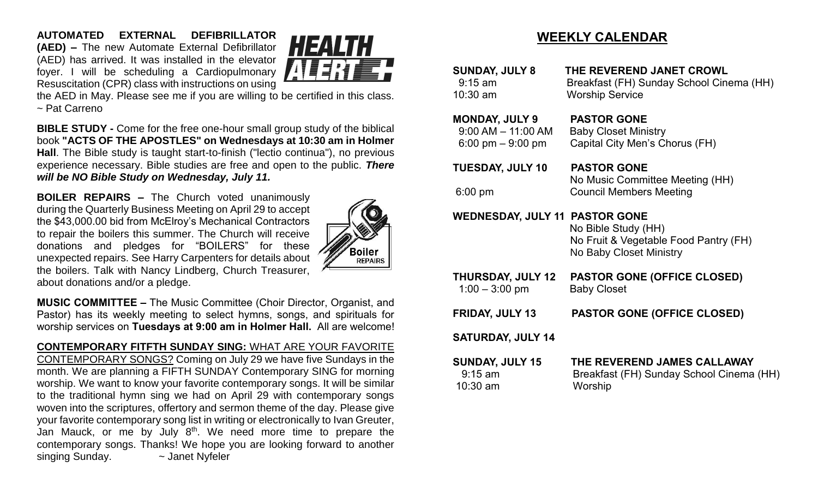**AUTOMATED EXTERNAL DEFIBRILLATOR (AED) –** The new Automate External Defibrillator (AED) has arrived. It was installed in the elevator foyer. I will be scheduling a Cardiopulmonary Resuscitation (CPR) class with instructions on using



the AED in May. Please see me if you are willing to be certified in this class. ~ Pat Carreno

**BIBLE STUDY -** Come for the free one-hour small group study of the biblical book **"ACTS OF THE APOSTLES" on Wednesdays at 10:30 am in Holmer Hall**. The Bible study is taught start-to-finish ("lectio continua"), no previous experience necessary. Bible studies are free and open to the public. *There will be NO Bible Study on Wednesday, July 11.*

**BOILER REPAIRS –** The Church voted unanimously during the Quarterly Business Meeting on April 29 to accept the \$43,000.00 bid from McElroy's Mechanical Contractors to repair the boilers this summer. The Church will receive donations and pledges for "BOILERS" for these unexpected repairs. See Harry Carpenters for details about the boilers. Talk with Nancy Lindberg, Church Treasurer, about donations and/or a pledge.



**MUSIC COMMITTEE –** The Music Committee (Choir Director, Organist, and Pastor) has its weekly meeting to select hymns, songs, and spirituals for worship services on **Tuesdays at 9:00 am in Holmer Hall.** All are welcome!

**CONTEMPORARY FITFTH SUNDAY SING:** WHAT ARE YOUR FAVORITE CONTEMPORARY SONGS? Coming on July 29 we have five Sundays in the month. We are planning a FIFTH SUNDAY Contemporary SING for morning worship. We want to know your favorite contemporary songs. It will be similar to the traditional hymn sing we had on April 29 with contemporary songs woven into the scriptures, offertory and sermon theme of the day. Please give your favorite contemporary song list in writing or electronically to Ivan Greuter, Jan Mauck, or me by July 8<sup>th</sup>. We need more time to prepare the contemporary songs. Thanks! We hope you are looking forward to another singing Sunday.  $\sim$  Janet Nyfeler

# **WEEKLY CALENDAR**

| <b>SUNDAY, JULY 8</b><br>$9:15$ am<br>10:30 am                        | THE REVEREND JANET CROWL<br>Breakfast (FH) Sunday School Cinema (HH)<br><b>Worship Service</b> |
|-----------------------------------------------------------------------|------------------------------------------------------------------------------------------------|
| <b>MONDAY, JULY 9</b><br>$9:00$ AM $-$ 11:00 AM<br>6:00 pm $-9:00$ pm | <b>PASTOR GONE</b><br><b>Baby Closet Ministry</b><br>Capital City Men's Chorus (FH)            |
| <b>TUESDAY, JULY 10</b><br>$6:00$ pm                                  | <b>PASTOR GONE</b><br>No Music Committee Meeting (HH)<br><b>Council Members Meeting</b>        |
| <b>WEDNESDAY, JULY 11 PASTOR GONE</b>                                 | No Bible Study (HH)<br>No Fruit & Vegetable Food Pantry (FH)<br>No Baby Closet Ministry        |
| <b>THURSDAY, JULY 12</b><br>$1:00 - 3:00$ pm                          | <b>PASTOR GONE (OFFICE CLOSED)</b><br><b>Baby Closet</b>                                       |
| <b>FRIDAY, JULY 13</b>                                                | <b>PASTOR GONE (OFFICE CLOSED)</b>                                                             |
| <b>SATURDAY, JULY 14</b>                                              |                                                                                                |
| <b>SUNDAY, JULY 15</b><br>$9:15$ am<br>10:30 am                       | THE REVEREND JAMES CALLAWAY<br>Breakfast (FH) Sunday School Cinema (HH)<br>Worship             |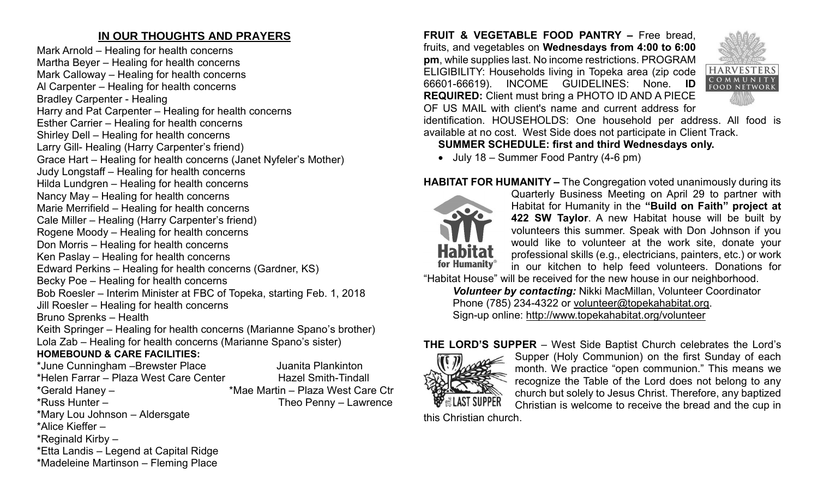# **IN OUR THOUGHTS AND PRAYERS**

Mark Arnold – Healing for health concerns Martha Beyer – Healing for health concerns Mark Calloway – Healing for health concerns Al Carpenter – Healing for health concerns Bradley Carpenter - Healing Harry and Pat Carpenter – Healing for health concerns Esther Carrier – Healing for health concerns Shirley Dell – Healing for health concerns Larry Gill- Healing (Harry Carpenter's friend) Grace Hart – Healing for health concerns (Janet Nyfeler's Mother) Judy Longstaff – Healing for health concerns Hilda Lundgren – Healing for health concerns Nancy May – Healing for health concerns Marie Merrifield – Healing for health concerns Cale Miller – Healing (Harry Carpenter's friend) Rogene Moody – Healing for health concerns Don Morris – Healing for health concerns Ken Paslay – Healing for health concerns Edward Perkins – Healing for health concerns (Gardner, KS) Becky Poe – Healing for health concerns Bob Roesler – Interim Minister at FBC of Topeka, starting Feb. 1, 2018 Jill Roesler – Healing for health concerns Bruno Sprenks – Health Keith Springer – Healing for health concerns (Marianne Spano's brother) Lola Zab – Healing for health concerns (Marianne Spano's sister) **HOMEBOUND & CARE FACILITIES:** \*June Cunningham –Brewster Place The Sultimation Juanita Plankinton \*Helen Farrar – Plaza West Care Center Hazel Smith-Tindall \*Gerald Haney – \* \*Mae Martin – Plaza West Care Ctr \*Russ Hunter – Theo Penny – Lawrence \*Mary Lou Johnson – Aldersgate \*Alice Kieffer –

\*Reginald Kirby –

\*Etta Landis – Legend at Capital Ridge \*Madeleine Martinson – Fleming Place

**FRUIT & VEGETABLE FOOD PANTRY –** Free bread, fruits, and vegetables on **Wednesdays from 4:00 to 6:00 pm**, while supplies last. No income restrictions. PROGRAM ELIGIBILITY: Households living in Topeka area (zip code 66601-66619). INCOME GUIDELINES: None. **ID REQUIRED:** Client must bring a PHOTO ID AND A PIECE OF US MAIL with client's name and current address for



identification. HOUSEHOLDS: One household per address. All food is available at no cost. West Side does not participate in Client Track.

## **SUMMER SCHEDULE: first and third Wednesdays only.**

• July 18 – Summer Food Pantry (4-6 pm)

# **HABITAT FOR HUMANITY –** The Congregation voted unanimously during its



Quarterly Business Meeting on April 29 to partner with Habitat for Humanity in the **"Build on Faith" project at 422 SW Taylor**. A new Habitat house will be built by volunteers this summer. Speak with Don Johnson if you would like to volunteer at the work site, donate your professional skills (e.g., electricians, painters, etc.) or work in our kitchen to help feed volunteers. Donations for

"Habitat House" will be received for the new house in our neighborhood. *Volunteer by contacting:* Nikki MacMillan, Volunteer Coordinator Phone (785) 234-4322 or [volunteer@topekahabitat.org.](mailto:volunteer@topekahabitat.org) Sign-up online:<http://www.topekahabitat.org/volunteer>



**THE LORD'S SUPPER** – West Side Baptist Church celebrates the Lord's Supper (Holy Communion) on the first Sunday of each month. We practice "open communion." This means we recognize the Table of the Lord does not belong to any church but solely to Jesus Christ. Therefore, any baptized Christian is welcome to receive the bread and the cup in

this Christian church.